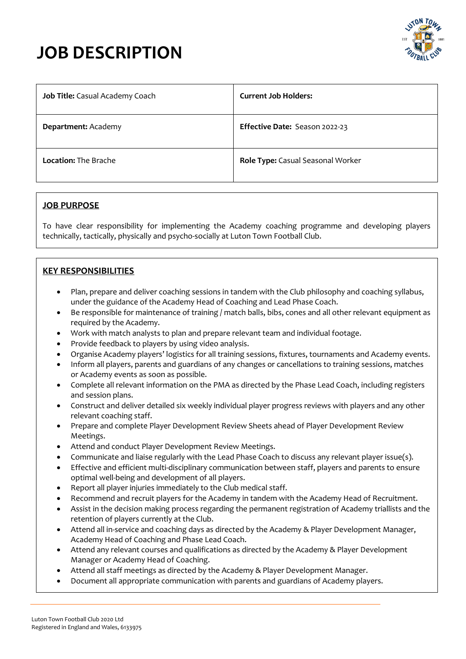



| Job Title: Casual Academy Coach | <b>Current Job Holders:</b>       |
|---------------------------------|-----------------------------------|
| Department: Academy             | Effective Date: Season 2022-23    |
| <b>Location: The Brache</b>     | Role Type: Casual Seasonal Worker |

## **JOB PURPOSE**

To have clear responsibility for implementing the Academy coaching programme and developing players technically, tactically, physically and psycho-socially at Luton Town Football Club.

# **KEY RESPONSIBILITIES**

- Plan, prepare and deliver coaching sessions in tandem with the Club philosophy and coaching syllabus, under the guidance of the Academy Head of Coaching and Lead Phase Coach.
- Be responsible for maintenance of training / match balls, bibs, cones and all other relevant equipment as required by the Academy.
- Work with match analysts to plan and prepare relevant team and individual footage.
- Provide feedback to players by using video analysis.
- Organise Academy players' logistics for all training sessions, fixtures, tournaments and Academy events.
- Inform all players, parents and guardians of any changes or cancellations to training sessions, matches or Academy events as soon as possible.
- Complete all relevant information on the PMA as directed by the Phase Lead Coach, including registers and session plans.
- Construct and deliver detailed six weekly individual player progress reviews with players and any other relevant coaching staff.
- Prepare and complete Player Development Review Sheets ahead of Player Development Review Meetings.
- Attend and conduct Player Development Review Meetings.
- Communicate and liaise regularly with the Lead Phase Coach to discuss any relevant player issue(s).
- Effective and efficient multi-disciplinary communication between staff, players and parents to ensure optimal well-being and development of all players.
- Report all player injuries immediately to the Club medical staff.
- Recommend and recruit players for the Academy in tandem with the Academy Head of Recruitment.
- Assist in the decision making process regarding the permanent registration of Academy triallists and the retention of players currently at the Club.
- Attend all in-service and coaching days as directed by the Academy & Player Development Manager, Academy Head of Coaching and Phase Lead Coach.
- Attend any relevant courses and qualifications as directed by the Academy & Player Development Manager or Academy Head of Coaching.
- Attend all staff meetings as directed by the Academy & Player Development Manager.
- Document all appropriate communication with parents and guardians of Academy players.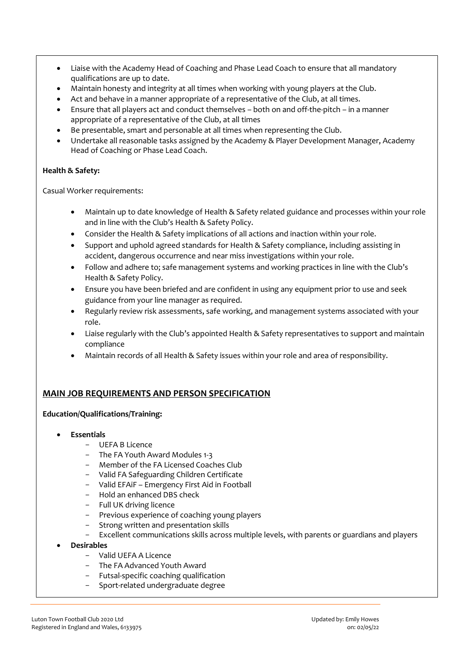- Liaise with the Academy Head of Coaching and Phase Lead Coach to ensure that all mandatory qualifications are up to date.
- Maintain honesty and integrity at all times when working with young players at the Club.
- Act and behave in a manner appropriate of a representative of the Club, at all times.
- Ensure that all players act and conduct themselves both on and off-the-pitch in a manner appropriate of a representative of the Club, at all times
- Be presentable, smart and personable at all times when representing the Club.
- Undertake all reasonable tasks assigned by the Academy & Player Development Manager, Academy Head of Coaching or Phase Lead Coach.

#### **Health & Safety:**

Casual Worker requirements:

- Maintain up to date knowledge of Health & Safety related guidance and processes within your role and in line with the Club's Health & Safety Policy.
- Consider the Health & Safety implications of all actions and inaction within your role.
- Support and uphold agreed standards for Health & Safety compliance, including assisting in accident, dangerous occurrence and near miss investigations within your role.
- Follow and adhere to; safe management systems and working practices in line with the Club's Health & Safety Policy.
- Ensure you have been briefed and are confident in using any equipment prior to use and seek guidance from your line manager as required.
- Regularly review risk assessments, safe working, and management systems associated with your role.
- Liaise regularly with the Club's appointed Health & Safety representatives to support and maintain compliance
- Maintain records of all Health & Safety issues within your role and area of responsibility.

## **MAIN JOB REQUIREMENTS AND PERSON SPECIFICATION**

#### **Education/Qualifications/Training:**

- **Essentials**
	- UEFA B Licence
	- The FA Youth Award Modules 1-3
	- Member of the FA Licensed Coaches Club
	- Valid FA Safeguarding Children Certificate
	- Valid EFAiF Emergency First Aid in Football
	- Hold an enhanced DBS check
	- Full UK driving licence
	- Previous experience of coaching young players
	- Strong written and presentation skills
	- Excellent communications skills across multiple levels, with parents or guardians and players
- **Desirables**
	- Valid UEFA A Licence
	- The FA Advanced Youth Award
	- Futsal-specific coaching qualification
	- Sport-related undergraduate degree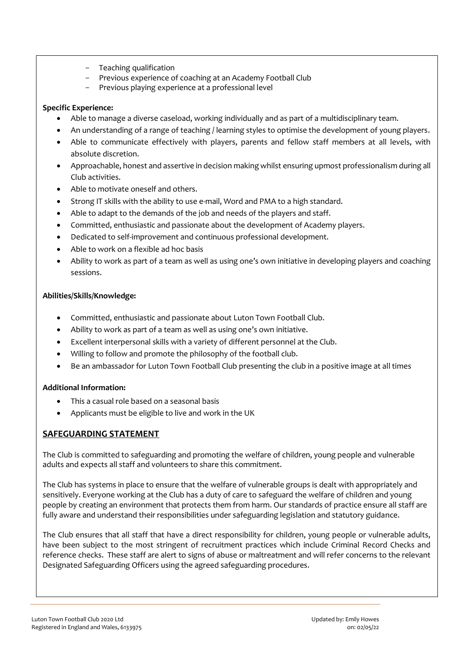- Teaching qualification
- Previous experience of coaching at an Academy Football Club
- Previous playing experience at a professional level

## **Specific Experience:**

- Able to manage a diverse caseload, working individually and as part of a multidisciplinary team.
- An understanding of a range of teaching / learning styles to optimise the development of young players.
- Able to communicate effectively with players, parents and fellow staff members at all levels, with absolute discretion.
- Approachable, honest and assertive in decision making whilst ensuring upmost professionalism during all Club activities.
- Able to motivate oneself and others.
- Strong IT skills with the ability to use e-mail, Word and PMA to a high standard.
- Able to adapt to the demands of the job and needs of the players and staff.
- Committed, enthusiastic and passionate about the development of Academy players.
- Dedicated to self-improvement and continuous professional development.
- Able to work on a flexible ad hoc basis
- Ability to work as part of a team as well as using one's own initiative in developing players and coaching sessions.

# **Abilities/Skills/Knowledge:**

- Committed, enthusiastic and passionate about Luton Town Football Club.
- Ability to work as part of a team as well as using one's own initiative.
- Excellent interpersonal skills with a variety of different personnel at the Club.
- Willing to follow and promote the philosophy of the football club.
- Be an ambassador for Luton Town Football Club presenting the club in a positive image at all times

## **Additional Information:**

- This a casual role based on a seasonal basis
- Applicants must be eligible to live and work in the UK

# **SAFEGUARDING STATEMENT**

The Club is committed to safeguarding and promoting the welfare of children, young people and vulnerable adults and expects all staff and volunteers to share this commitment.

The Club has systems in place to ensure that the welfare of vulnerable groups is dealt with appropriately and sensitively. Everyone working at the Club has a duty of care to safeguard the welfare of children and young people by creating an environment that protects them from harm. Our standards of practice ensure all staff are fully aware and understand their responsibilities under safeguarding legislation and statutory guidance.

The Club ensures that all staff that have a direct responsibility for children, young people or vulnerable adults, have been subject to the most stringent of recruitment practices which include Criminal Record Checks and reference checks. These staff are alert to signs of abuse or maltreatment and will refer concerns to the relevant Designated Safeguarding Officers using the agreed safeguarding procedures.